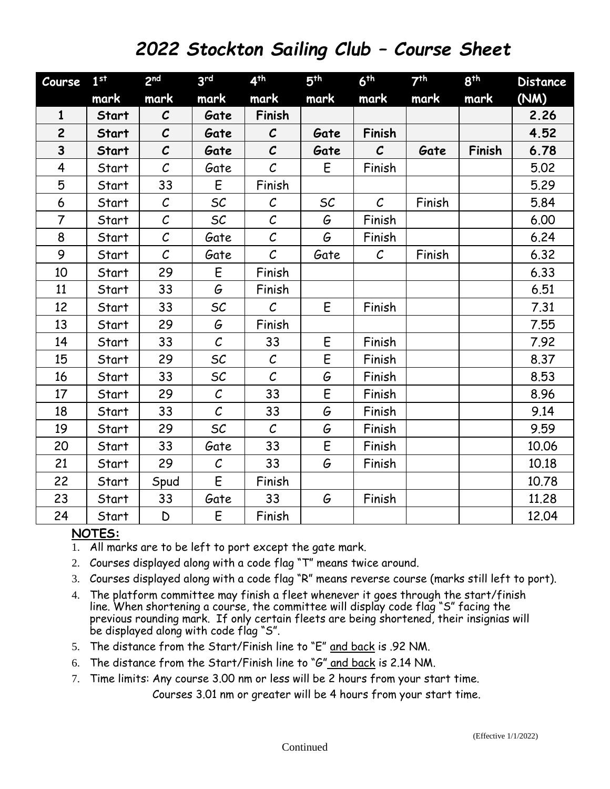## *2022 Stockton Sailing Club – Course Sheet*

| Course         | 1 <sup>st</sup> | 2 <sub>nd</sub>   | 3 <sup>rd</sup>   | 4 <sup>th</sup>   | 5 <sup>th</sup> | 6 <sup>th</sup> | 7 <sup>th</sup> | 8 <sup>th</sup> | <b>Distance</b> |
|----------------|-----------------|-------------------|-------------------|-------------------|-----------------|-----------------|-----------------|-----------------|-----------------|
|                | mark            | mark              | mark              | mark              | mark            | mark            | mark            | mark            | (NM)            |
| $\mathbf{1}$   | <b>Start</b>    | $\mathcal{C}$     | Gate              | Finish            |                 |                 |                 |                 | 2.26            |
| $\overline{c}$ | Start           | $\mathcal{C}$     | Gate              | $\mathcal{C}$     | Gate            | Finish          |                 |                 | 4.52            |
| 3              | <b>Start</b>    | $\mathcal{C}$     | Gate              | $\mathcal{C}$     | Gate            | $\mathcal{C}$   | Gate            | Finish          | 6.78            |
| $\overline{4}$ | Start           | $\mathcal{C}$     | Gate              | $\mathcal{C}$     | E               | Finish          |                 |                 | 5.02            |
| 5              | Start           | 33                | E                 | Finish            |                 |                 |                 |                 | 5.29            |
| 6              | Start           | $\mathcal C$      | SC                | $\mathcal{C}$     | SC              | $\mathcal{C}$   | Finish          |                 | 5.84            |
| $\overline{7}$ | Start           | $\mathcal{C}_{0}$ | SC                | $\mathcal{C}$     | G               | Finish          |                 |                 | 6.00            |
| 8              | Start           | $\mathcal{C}$     | Gate              | $\mathcal{C}$     | G               | Finish          |                 |                 | 6.24            |
| 9              | Start           | $\mathcal{C}$     | Gate              | $\mathcal{C}$     | Gate            | $\mathcal{C}$   | Finish          |                 | 6.32            |
| 10             | Start           | 29                | E                 | Finish            |                 |                 |                 |                 | 6.33            |
| 11             | Start           | 33                | G                 | Finish            |                 |                 |                 |                 | 6.51            |
| 12             | Start           | 33                | SC                | $\mathcal{C}_{0}$ | E               | Finish          |                 |                 | 7.31            |
| 13             | Start           | 29                | G                 | Finish            |                 |                 |                 |                 | 7.55            |
| 14             | Start           | 33                | $\mathcal{C}_{0}$ | 33                | E               | Finish          |                 |                 | 7.92            |
| 15             | Start           | 29                | SC                | $\mathcal{C}$     | E               | Finish          |                 |                 | 8.37            |
| 16             | Start           | 33                | SC                | $\mathcal{C}$     | G               | Finish          |                 |                 | 8.53            |
| 17             | Start           | 29                | $\mathcal C$      | 33                | E               | Finish          |                 |                 | 8.96            |
| 18             | Start           | 33                | $\mathcal{C}_{0}$ | 33                | G               | Finish          |                 |                 | 9.14            |
| 19             | Start           | 29                | SC                | $\mathcal{C}_{0}$ | G               | Finish          |                 |                 | 9.59            |
| 20             | Start           | 33                | Gate              | 33                | $\mathsf E$     | Finish          |                 |                 | 10.06           |
| 21             | Start           | 29                | $\mathcal{C}_{0}$ | 33                | G               | Finish          |                 |                 | 10.18           |
| 22             | Start           | Spud              | E                 | Finish            |                 |                 |                 |                 | 10.78           |
| 23             | Start           | 33                | Gate              | 33                | G               | Finish          |                 |                 | 11.28           |
| 24             | Start           | D                 | E                 | Finish            |                 |                 |                 |                 | 12.04           |

## **NOTES:**

- 1. All marks are to be left to port except the gate mark.
- 2. Courses displayed along with a code flag "T" means twice around.
- 3. Courses displayed along with a code flag "R" means reverse course (marks still left to port).
- 4. The platform committee may finish a fleet whenever it goes through the start/finish line. When shortening a course, the committee will display code flag "S" facing the previous rounding mark. If only certain fleets are being shortened, their insignias will be displayed along with code flag "S".
- 5. The distance from the Start/Finish line to "E" and back is .92 NM.
- 6. The distance from the Start/Finish line to "G" and back is 2.14 NM.
- 7. Time limits: Any course 3.00 nm or less will be 2 hours from your start time.

Courses 3.01 nm or greater will be 4 hours from your start time.